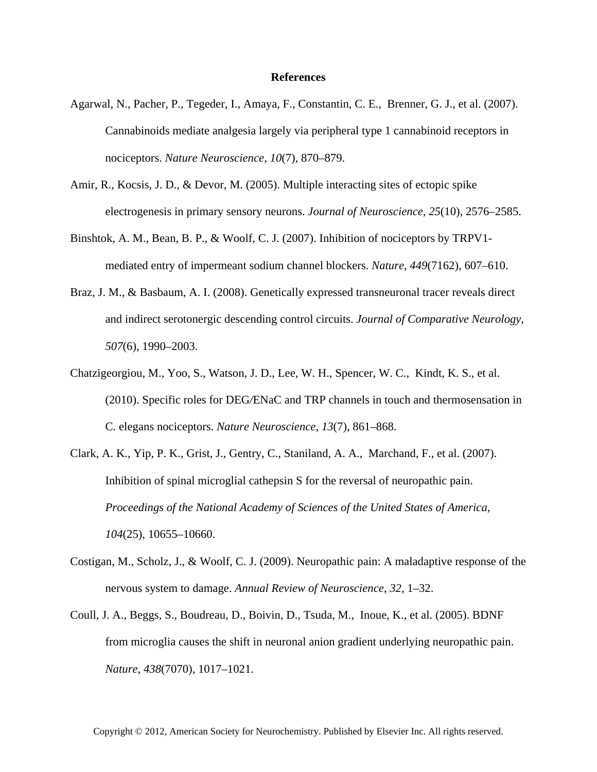## **References**

- Agarwal, N., Pacher, P., Tegeder, I., Amaya, F., Constantin, C. E., Brenner, G. J., et al. (2007). Cannabinoids mediate analgesia largely via peripheral type 1 cannabinoid receptors in nociceptors. *Nature Neuroscience*, *10*(7), 870–879.
- Amir, R., Kocsis, J. D., & Devor, M. (2005). Multiple interacting sites of ectopic spike electrogenesis in primary sensory neurons. *Journal of Neuroscience*, *25*(10), 2576–2585.
- Binshtok, A. M., Bean, B. P., & Woolf, C. J. (2007). Inhibition of nociceptors by TRPV1 mediated entry of impermeant sodium channel blockers. *Nature*, *449*(7162), 607–610.
- Braz, J. M., & Basbaum, A. I. (2008). Genetically expressed transneuronal tracer reveals direct and indirect serotonergic descending control circuits. *Journal of Comparative Neurology*, *507*(6), 1990–2003.
- Chatzigeorgiou, M., Yoo, S., Watson, J. D., Lee, W. H., Spencer, W. C., Kindt, K. S., et al. (2010). Specific roles for DEG*/*ENaC and TRP channels in touch and thermosensation in C. elegans nociceptors. *Nature Neuroscience*, *13*(7), 861–868.
- Clark, A. K., Yip, P. K., Grist, J., Gentry, C., Staniland, A. A., Marchand, F., et al. (2007). Inhibition of spinal microglial cathepsin S for the reversal of neuropathic pain. *Proceedings of the National Academy of Sciences of the United States of America*, *104*(25), 10655–10660.
- Costigan, M., Scholz, J., & Woolf, C. J. (2009). Neuropathic pain: A maladaptive response of the nervous system to damage. *Annual Review of Neuroscience*, *32*, 1–32.
- Coull, J. A., Beggs, S., Boudreau, D., Boivin, D., Tsuda, M., Inoue, K., et al. (2005). BDNF from microglia causes the shift in neuronal anion gradient underlying neuropathic pain. *Nature*, *438*(7070), 1017–1021.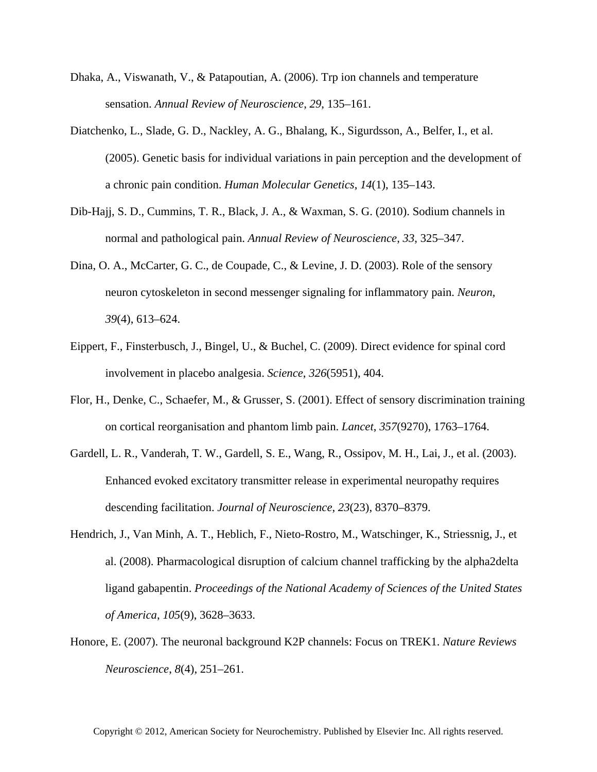- Dhaka, A., Viswanath, V., & Patapoutian, A. (2006). Trp ion channels and temperature sensation. *Annual Review of Neuroscience*, *29*, 135–161.
- Diatchenko, L., Slade, G. D., Nackley, A. G., Bhalang, K., Sigurdsson, A., Belfer, I., et al. (2005). Genetic basis for individual variations in pain perception and the development of a chronic pain condition. *Human Molecular Genetics*, *14*(1), 135–143.
- Dib-Hajj, S. D., Cummins, T. R., Black, J. A., & Waxman, S. G. (2010). Sodium channels in normal and pathological pain. *Annual Review of Neuroscience*, *33*, 325–347.
- Dina, O. A., McCarter, G. C., de Coupade, C., & Levine, J. D. (2003). Role of the sensory neuron cytoskeleton in second messenger signaling for inflammatory pain. *Neuron*, *39*(4), 613–624.
- Eippert, F., Finsterbusch, J., Bingel, U., & Buchel, C. (2009). Direct evidence for spinal cord involvement in placebo analgesia. *Science*, *326*(5951), 404.
- Flor, H., Denke, C., Schaefer, M., & Grusser, S. (2001). Effect of sensory discrimination training on cortical reorganisation and phantom limb pain. *Lancet*, *357*(9270), 1763–1764.
- Gardell, L. R., Vanderah, T. W., Gardell, S. E., Wang, R., Ossipov, M. H., Lai, J., et al. (2003). Enhanced evoked excitatory transmitter release in experimental neuropathy requires descending facilitation. *Journal of Neuroscience*, *23*(23), 8370–8379.
- Hendrich, J., Van Minh, A. T., Heblich, F., Nieto-Rostro, M., Watschinger, K., Striessnig, J., et al. (2008). Pharmacological disruption of calcium channel trafficking by the alpha2delta ligand gabapentin. *Proceedings of the National Academy of Sciences of the United States of America*, *105*(9), 3628–3633.
- Honore, E. (2007). The neuronal background K2P channels: Focus on TREK1. *Nature Reviews Neuroscience*, *8*(4), 251–261.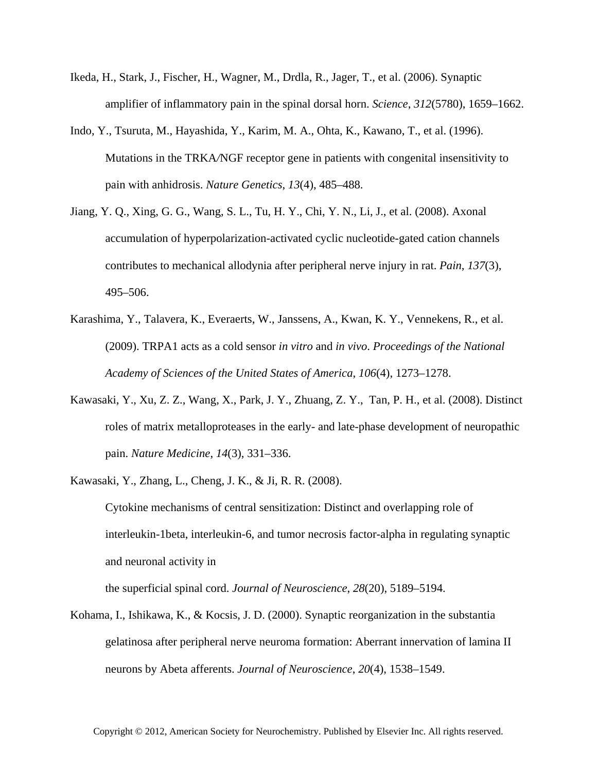- Ikeda, H., Stark, J., Fischer, H., Wagner, M., Drdla, R., Jager, T., et al. (2006). Synaptic amplifier of inflammatory pain in the spinal dorsal horn. *Science*, *312*(5780), 1659–1662.
- Indo, Y., Tsuruta, M., Hayashida, Y., Karim, M. A., Ohta, K., Kawano, T., et al. (1996). Mutations in the TRKA*/*NGF receptor gene in patients with congenital insensitivity to pain with anhidrosis. *Nature Genetics*, *13*(4), 485–488.
- Jiang, Y. Q., Xing, G. G., Wang, S. L., Tu, H. Y., Chi, Y. N., Li, J., et al. (2008). Axonal accumulation of hyperpolarization-activated cyclic nucleotide-gated cation channels contributes to mechanical allodynia after peripheral nerve injury in rat. *Pain*, *137*(3), 495–506.
- Karashima, Y., Talavera, K., Everaerts, W., Janssens, A., Kwan, K. Y., Vennekens, R., et al. (2009). TRPA1 acts as a cold sensor *in vitro* and *in vivo*. *Proceedings of the National Academy of Sciences of the United States of America*, *106*(4), 1273–1278.
- Kawasaki, Y., Xu, Z. Z., Wang, X., Park, J. Y., Zhuang, Z. Y., Tan, P. H., et al. (2008). Distinct roles of matrix metalloproteases in the early- and late-phase development of neuropathic pain. *Nature Medicine*, *14*(3), 331–336.
- Kawasaki, Y., Zhang, L., Cheng, J. K., & Ji, R. R. (2008). Cytokine mechanisms of central sensitization: Distinct and overlapping role of interleukin-1beta, interleukin-6, and tumor necrosis factor-alpha in regulating synaptic and neuronal activity in

the superficial spinal cord. *Journal of Neuroscience*, *28*(20), 5189–5194.

Kohama, I., Ishikawa, K., & Kocsis, J. D. (2000). Synaptic reorganization in the substantia gelatinosa after peripheral nerve neuroma formation: Aberrant innervation of lamina II neurons by Abeta afferents. *Journal of Neuroscience*, *20*(4), 1538–1549.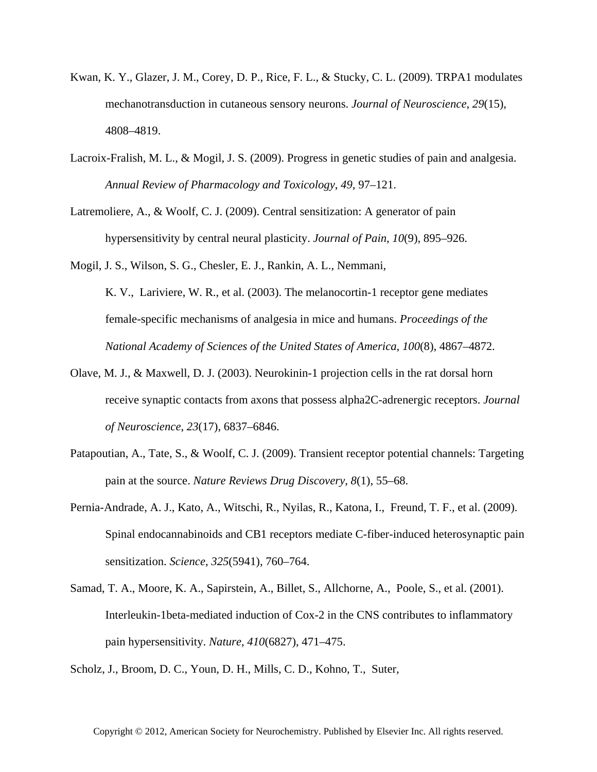- Kwan, K. Y., Glazer, J. M., Corey, D. P., Rice, F. L., & Stucky, C. L. (2009). TRPA1 modulates mechanotransduction in cutaneous sensory neurons. *Journal of Neuroscience*, *29*(15), 4808–4819.
- Lacroix-Fralish, M. L., & Mogil, J. S. (2009). Progress in genetic studies of pain and analgesia. *Annual Review of Pharmacology and Toxicology*, *49*, 97–121.
- Latremoliere, A., & Woolf, C. J. (2009). Central sensitization: A generator of pain hypersensitivity by central neural plasticity. *Journal of Pain*, *10*(9), 895–926.

Mogil, J. S., Wilson, S. G., Chesler, E. J., Rankin, A. L., Nemmani, K. V., Lariviere, W. R., et al. (2003). The melanocortin-1 receptor gene mediates female-specific mechanisms of analgesia in mice and humans. *Proceedings of the National Academy of Sciences of the United States of America*, *100*(8), 4867–4872.

- Olave, M. J., & Maxwell, D. J. (2003). Neurokinin-1 projection cells in the rat dorsal horn receive synaptic contacts from axons that possess alpha2C-adrenergic receptors. *Journal of Neuroscience*, *23*(17), 6837–6846.
- Patapoutian, A., Tate, S., & Woolf, C. J. (2009). Transient receptor potential channels: Targeting pain at the source. *Nature Reviews Drug Discovery*, *8*(1), 55–68.
- Pernia-Andrade, A. J., Kato, A., Witschi, R., Nyilas, R., Katona, I., Freund, T. F., et al. (2009). Spinal endocannabinoids and CB1 receptors mediate C-fiber-induced heterosynaptic pain sensitization. *Science*, *325*(5941), 760–764.
- Samad, T. A., Moore, K. A., Sapirstein, A., Billet, S., Allchorne, A., Poole, S., et al. (2001). Interleukin-1beta-mediated induction of Cox-2 in the CNS contributes to inflammatory pain hypersensitivity. *Nature*, *410*(6827), 471–475.

Scholz, J., Broom, D. C., Youn, D. H., Mills, C. D., Kohno, T., Suter,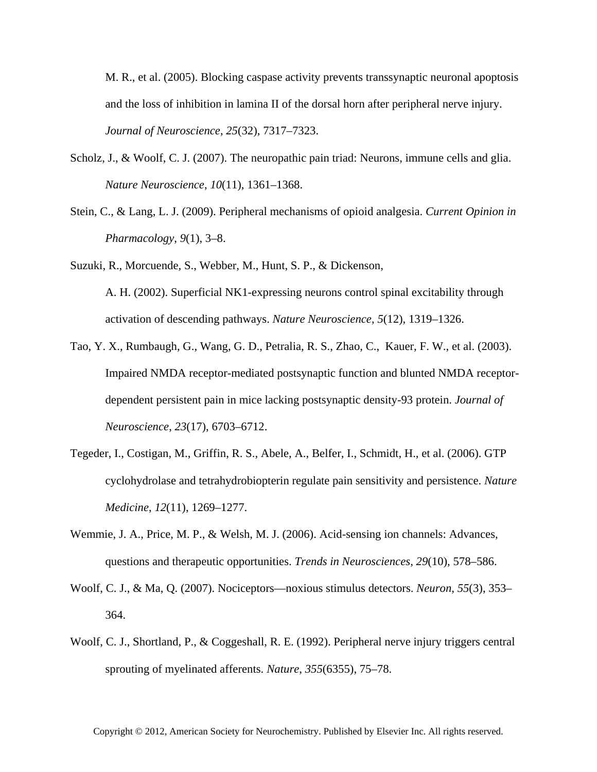M. R., et al. (2005). Blocking caspase activity prevents transsynaptic neuronal apoptosis and the loss of inhibition in lamina II of the dorsal horn after peripheral nerve injury. *Journal of Neuroscience*, *25*(32), 7317–7323.

- Scholz, J., & Woolf, C. J. (2007). The neuropathic pain triad: Neurons, immune cells and glia. *Nature Neuroscience*, *10*(11), 1361–1368.
- Stein, C., & Lang, L. J. (2009). Peripheral mechanisms of opioid analgesia. *Current Opinion in Pharmacology*, *9*(1), 3–8.
- Suzuki, R., Morcuende, S., Webber, M., Hunt, S. P., & Dickenson, A. H. (2002). Superficial NK1-expressing neurons control spinal excitability through activation of descending pathways. *Nature Neuroscience*, *5*(12), 1319–1326.
- Tao, Y. X., Rumbaugh, G., Wang, G. D., Petralia, R. S., Zhao, C., Kauer, F. W., et al. (2003). Impaired NMDA receptor-mediated postsynaptic function and blunted NMDA receptordependent persistent pain in mice lacking postsynaptic density-93 protein. *Journal of Neuroscience*, *23*(17), 6703–6712.
- Tegeder, I., Costigan, M., Griffin, R. S., Abele, A., Belfer, I., Schmidt, H., et al. (2006). GTP cyclohydrolase and tetrahydrobiopterin regulate pain sensitivity and persistence. *Nature Medicine*, *12*(11), 1269–1277.
- Wemmie, J. A., Price, M. P., & Welsh, M. J. (2006). Acid-sensing ion channels: Advances, questions and therapeutic opportunities. *Trends in Neurosciences*, *29*(10), 578–586.
- Woolf, C. J., & Ma, Q. (2007). Nociceptors—noxious stimulus detectors. *Neuron*, *55*(3), 353– 364.
- Woolf, C. J., Shortland, P., & Coggeshall, R. E. (1992). Peripheral nerve injury triggers central sprouting of myelinated afferents. *Nature*, *355*(6355), 75–78.